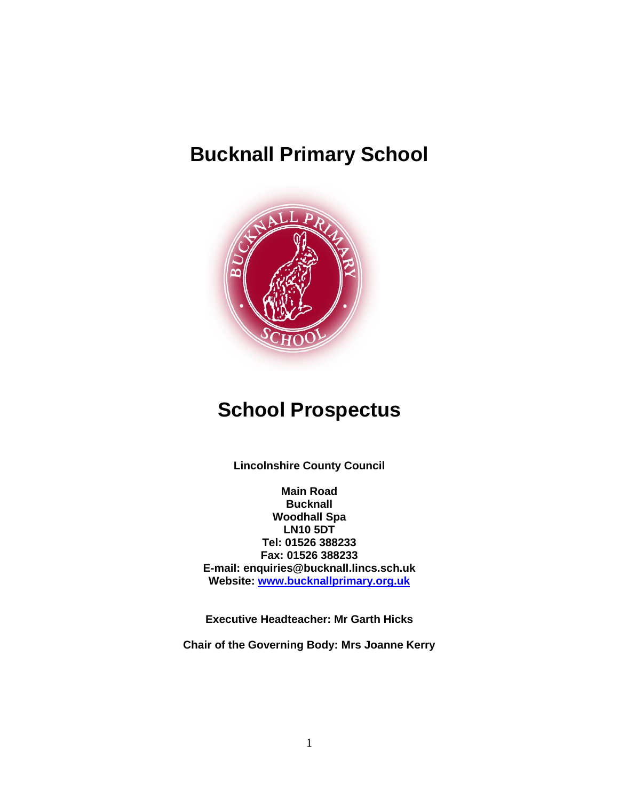## **Bucknall Primary School**



## **School Prospectus**

**Lincolnshire County Council**

**Main Road Bucknall Woodhall Spa LN10 5DT Tel: 01526 388233 Fax: 01526 388233 E-mail: enquiries@bucknall.lincs.sch.uk Website: [www.bucknallprimary.org.uk](http://www.bucknallprimary.org.uk/)**

**Executive Headteacher: Mr Garth Hicks**

**Chair of the Governing Body: Mrs Joanne Kerry**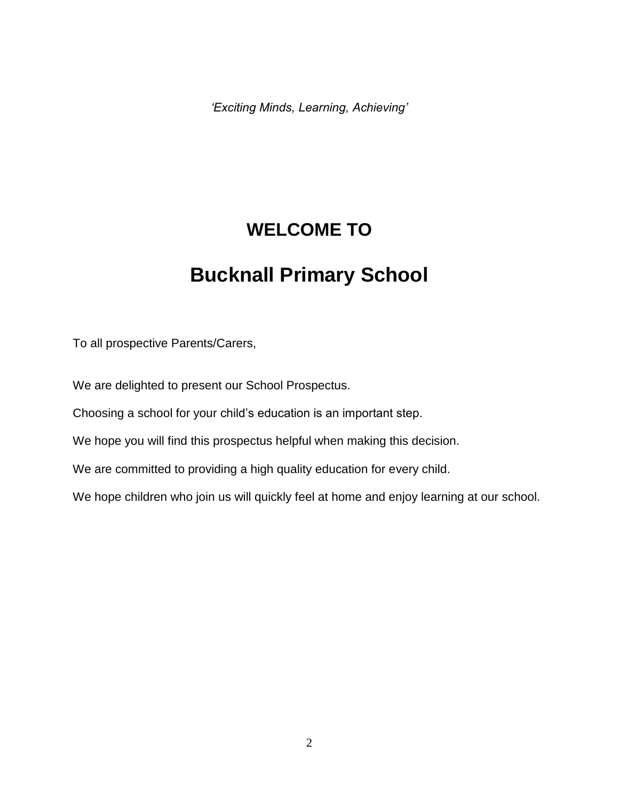*'Exciting Minds, Learning, Achieving'* 

## **WELCOME TO**

## **Bucknall Primary School**

To all prospective Parents/Carers,

We are delighted to present our School Prospectus.

Choosing a school for your child's education is an important step.

We hope you will find this prospectus helpful when making this decision.

We are committed to providing a high quality education for every child.

We hope children who join us will quickly feel at home and enjoy learning at our school.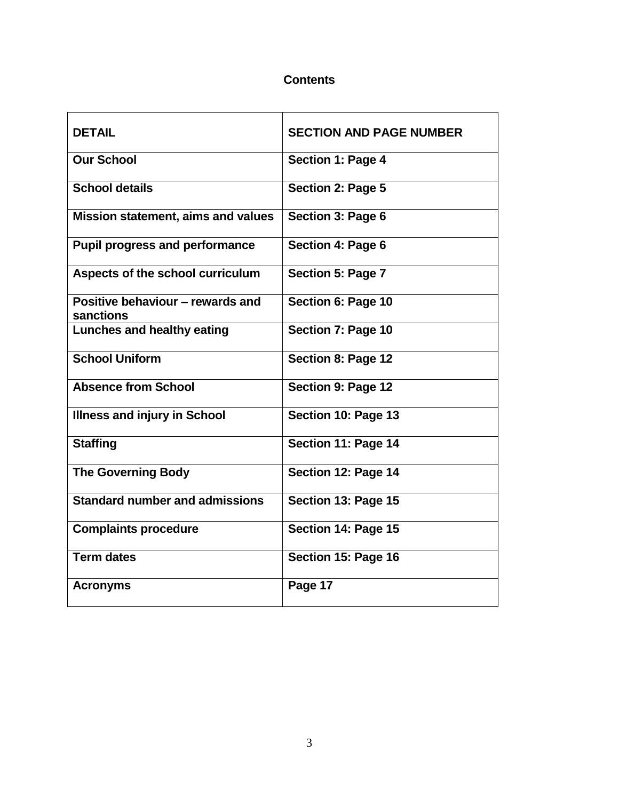## **Contents**

| <b>DETAIL</b>                                 | <b>SECTION AND PAGE NUMBER</b> |
|-----------------------------------------------|--------------------------------|
| <b>Our School</b>                             | Section 1: Page 4              |
| <b>School details</b>                         | Section 2: Page 5              |
| <b>Mission statement, aims and values</b>     | Section 3: Page 6              |
| <b>Pupil progress and performance</b>         | <b>Section 4: Page 6</b>       |
| Aspects of the school curriculum              | Section 5: Page 7              |
| Positive behaviour - rewards and<br>sanctions | Section 6: Page 10             |
| Lunches and healthy eating                    | Section 7: Page 10             |
| <b>School Uniform</b>                         | Section 8: Page 12             |
| <b>Absence from School</b>                    | Section 9: Page 12             |
| <b>Illness and injury in School</b>           | Section 10: Page 13            |
| <b>Staffing</b>                               | Section 11: Page 14            |
| <b>The Governing Body</b>                     | Section 12: Page 14            |
| <b>Standard number and admissions</b>         | Section 13: Page 15            |
| <b>Complaints procedure</b>                   | Section 14: Page 15            |
| <b>Term dates</b>                             | Section 15: Page 16            |
| <b>Acronyms</b>                               | Page 17                        |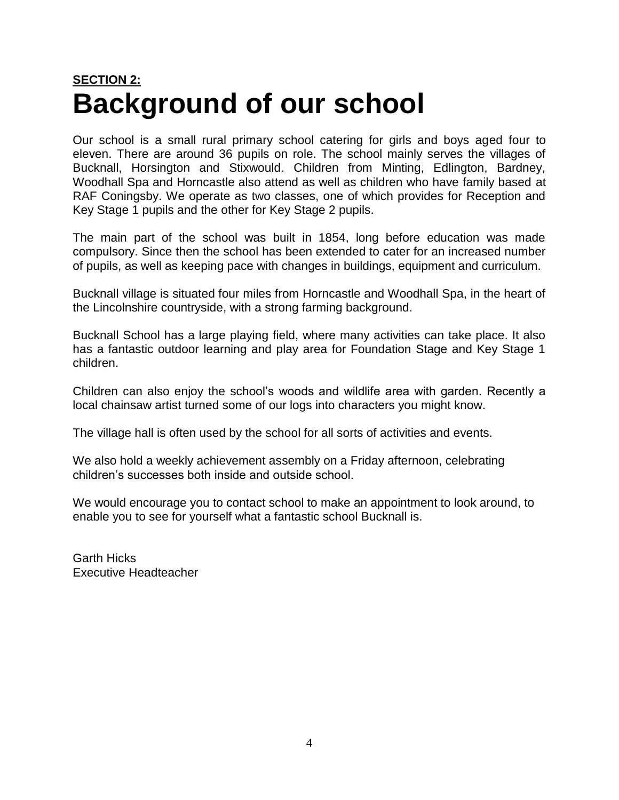# **SECTION 2: Background of our school**

Our school is a small rural primary school catering for girls and boys aged four to eleven. There are around 36 pupils on role. The school mainly serves the villages of Bucknall, Horsington and Stixwould. Children from Minting, Edlington, Bardney, Woodhall Spa and Horncastle also attend as well as children who have family based at RAF Coningsby. We operate as two classes, one of which provides for Reception and Key Stage 1 pupils and the other for Key Stage 2 pupils.

The main part of the school was built in 1854, long before education was made compulsory. Since then the school has been extended to cater for an increased number of pupils, as well as keeping pace with changes in buildings, equipment and curriculum.

Bucknall village is situated four miles from Horncastle and Woodhall Spa, in the heart of the Lincolnshire countryside, with a strong farming background.

Bucknall School has a large playing field, where many activities can take place. It also has a fantastic outdoor learning and play area for Foundation Stage and Key Stage 1 children.

Children can also enjoy the school's woods and wildlife area with garden. Recently a local chainsaw artist turned some of our logs into characters you might know.

The village hall is often used by the school for all sorts of activities and events.

We also hold a weekly achievement assembly on a Friday afternoon, celebrating children's successes both inside and outside school.

We would encourage you to contact school to make an appointment to look around, to enable you to see for yourself what a fantastic school Bucknall is.

Garth Hicks Executive Headteacher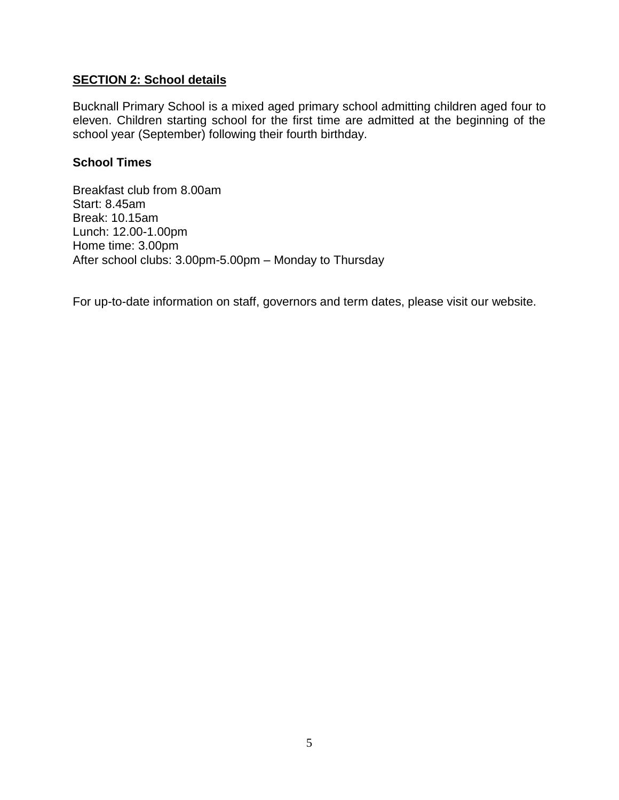#### **SECTION 2: School details**

Bucknall Primary School is a mixed aged primary school admitting children aged four to eleven. Children starting school for the first time are admitted at the beginning of the school year (September) following their fourth birthday.

#### **School Times**

Breakfast club from 8.00am Start: 8.45am Break: 10.15am Lunch: 12.00-1.00pm Home time: 3.00pm After school clubs: 3.00pm-5.00pm – Monday to Thursday

For up-to-date information on staff, governors and term dates, please visit our website.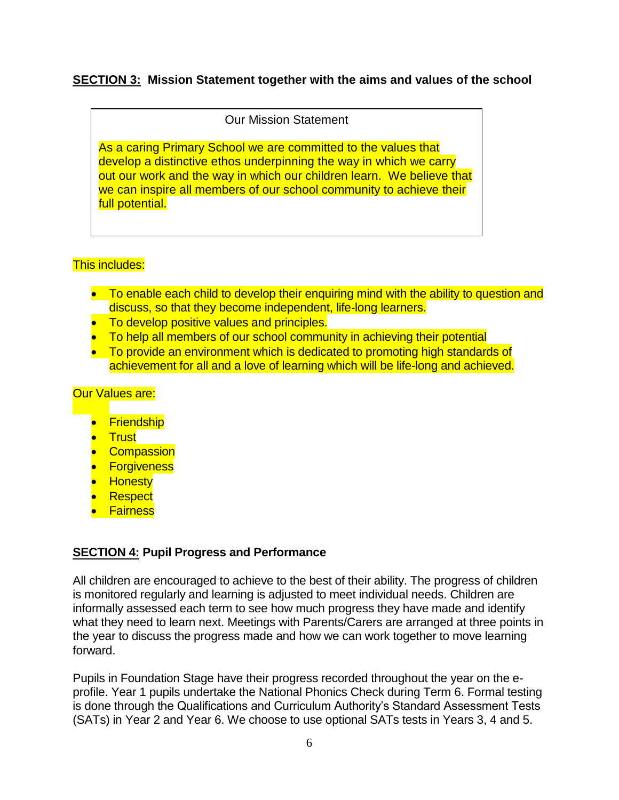## **SECTION 3: Mission Statement together with the aims and values of the school**

Our Mission Statement

As a caring Primary School we are committed to the values that develop a distinctive ethos underpinning the way in which we carry out our work and the way in which our children learn. We believe that we can inspire all members of our school community to achieve their full potential.

#### This includes:

- To enable each child to develop their enquiring mind with the ability to question and discuss, so that they become independent, life-long learners.
- To develop positive values and principles.
- To help all members of our school community in achieving their potential
- To provide an environment which is dedicated to promoting high standards of achievement for all and a love of learning which will be life-long and achieved.

#### **Our Values are:**

- Friendship
- <mark>\_\_Trust</mark>
- **•** Compassion
- **•** Forgiveness
- Honesty
- **•** Respect
- **•** Fairness

#### **SECTION 4: Pupil Progress and Performance**

All children are encouraged to achieve to the best of their ability. The progress of children is monitored regularly and learning is adjusted to meet individual needs. Children are informally assessed each term to see how much progress they have made and identify what they need to learn next. Meetings with Parents/Carers are arranged at three points in the year to discuss the progress made and how we can work together to move learning forward.

Pupils in Foundation Stage have their progress recorded throughout the year on the eprofile. Year 1 pupils undertake the National Phonics Check during Term 6. Formal testing is done through the Qualifications and Curriculum Authority's Standard Assessment Tests (SATs) in Year 2 and Year 6. We choose to use optional SATs tests in Years 3, 4 and 5.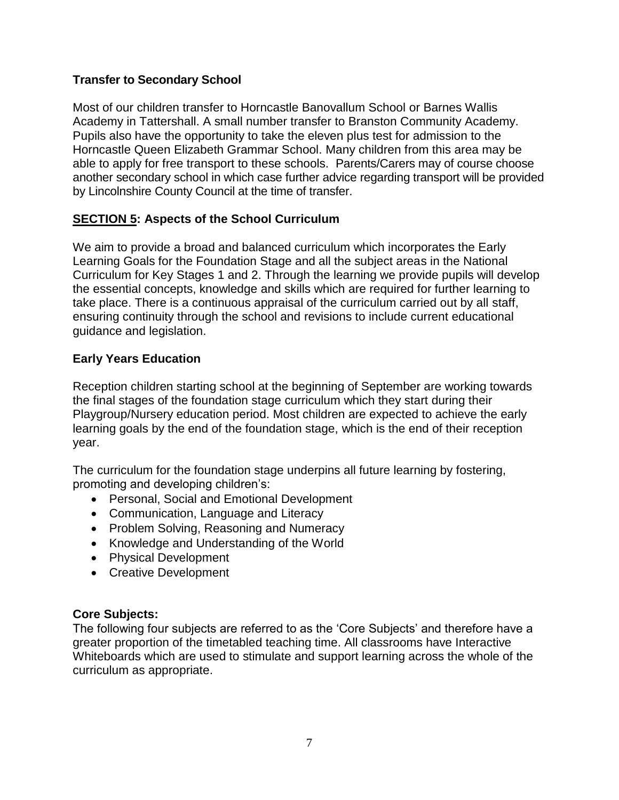## **Transfer to Secondary School**

Most of our children transfer to Horncastle Banovallum School or Barnes Wallis Academy in Tattershall. A small number transfer to Branston Community Academy. Pupils also have the opportunity to take the eleven plus test for admission to the Horncastle Queen Elizabeth Grammar School. Many children from this area may be able to apply for free transport to these schools. Parents/Carers may of course choose another secondary school in which case further advice regarding transport will be provided by Lincolnshire County Council at the time of transfer.

## **SECTION 5: Aspects of the School Curriculum**

We aim to provide a broad and balanced curriculum which incorporates the Early Learning Goals for the Foundation Stage and all the subject areas in the National Curriculum for Key Stages 1 and 2. Through the learning we provide pupils will develop the essential concepts, knowledge and skills which are required for further learning to take place. There is a continuous appraisal of the curriculum carried out by all staff, ensuring continuity through the school and revisions to include current educational guidance and legislation.

## **Early Years Education**

Reception children starting school at the beginning of September are working towards the final stages of the foundation stage curriculum which they start during their Playgroup/Nursery education period. Most children are expected to achieve the early learning goals by the end of the foundation stage, which is the end of their reception year.

The curriculum for the foundation stage underpins all future learning by fostering, promoting and developing children's:

- Personal, Social and Emotional Development
- Communication, Language and Literacy
- Problem Solving, Reasoning and Numeracy
- Knowledge and Understanding of the World
- Physical Development
- Creative Development

#### **Core Subjects:**

The following four subjects are referred to as the 'Core Subjects' and therefore have a greater proportion of the timetabled teaching time. All classrooms have Interactive Whiteboards which are used to stimulate and support learning across the whole of the curriculum as appropriate.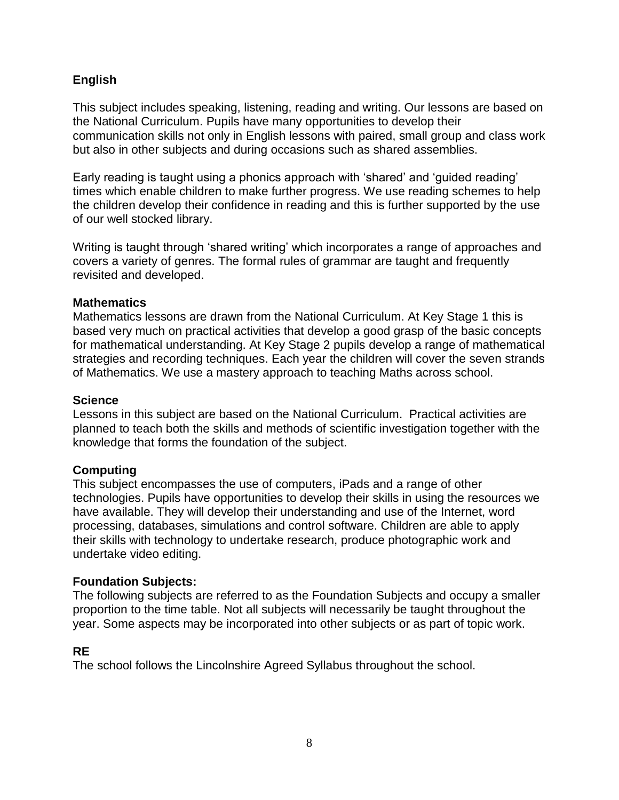## **English**

This subject includes speaking, listening, reading and writing. Our lessons are based on the National Curriculum. Pupils have many opportunities to develop their communication skills not only in English lessons with paired, small group and class work but also in other subjects and during occasions such as shared assemblies.

Early reading is taught using a phonics approach with 'shared' and 'guided reading' times which enable children to make further progress. We use reading schemes to help the children develop their confidence in reading and this is further supported by the use of our well stocked library.

Writing is taught through 'shared writing' which incorporates a range of approaches and covers a variety of genres. The formal rules of grammar are taught and frequently revisited and developed.

## **Mathematics**

Mathematics lessons are drawn from the National Curriculum. At Key Stage 1 this is based very much on practical activities that develop a good grasp of the basic concepts for mathematical understanding. At Key Stage 2 pupils develop a range of mathematical strategies and recording techniques. Each year the children will cover the seven strands of Mathematics. We use a mastery approach to teaching Maths across school.

#### **Science**

Lessons in this subject are based on the National Curriculum. Practical activities are planned to teach both the skills and methods of scientific investigation together with the knowledge that forms the foundation of the subject.

#### **Computing**

This subject encompasses the use of computers, iPads and a range of other technologies. Pupils have opportunities to develop their skills in using the resources we have available. They will develop their understanding and use of the Internet, word processing, databases, simulations and control software. Children are able to apply their skills with technology to undertake research, produce photographic work and undertake video editing.

#### **Foundation Subjects:**

The following subjects are referred to as the Foundation Subjects and occupy a smaller proportion to the time table. Not all subjects will necessarily be taught throughout the year. Some aspects may be incorporated into other subjects or as part of topic work.

## **RE**

The school follows the Lincolnshire Agreed Syllabus throughout the school.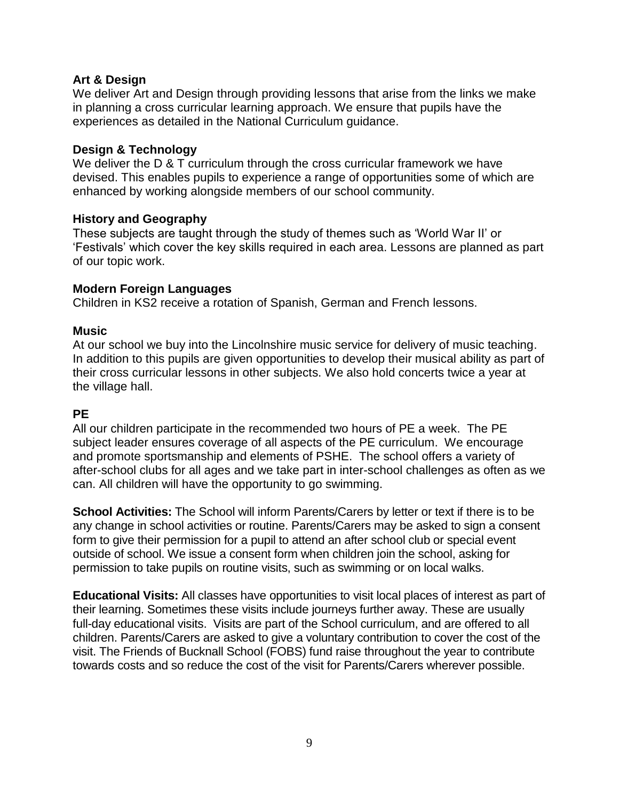#### **Art & Design**

We deliver Art and Design through providing lessons that arise from the links we make in planning a cross curricular learning approach. We ensure that pupils have the experiences as detailed in the National Curriculum guidance.

#### **Design & Technology**

We deliver the D & T curriculum through the cross curricular framework we have devised. This enables pupils to experience a range of opportunities some of which are enhanced by working alongside members of our school community.

#### **History and Geography**

These subjects are taught through the study of themes such as 'World War II' or 'Festivals' which cover the key skills required in each area. Lessons are planned as part of our topic work.

#### **Modern Foreign Languages**

Children in KS2 receive a rotation of Spanish, German and French lessons.

#### **Music**

At our school we buy into the Lincolnshire music service for delivery of music teaching. In addition to this pupils are given opportunities to develop their musical ability as part of their cross curricular lessons in other subjects. We also hold concerts twice a year at the village hall.

#### **PE**

All our children participate in the recommended two hours of PE a week. The PE subject leader ensures coverage of all aspects of the PE curriculum. We encourage and promote sportsmanship and elements of PSHE. The school offers a variety of after-school clubs for all ages and we take part in inter-school challenges as often as we can. All children will have the opportunity to go swimming.

**School Activities:** The School will inform Parents/Carers by letter or text if there is to be any change in school activities or routine. Parents/Carers may be asked to sign a consent form to give their permission for a pupil to attend an after school club or special event outside of school. We issue a consent form when children join the school, asking for permission to take pupils on routine visits, such as swimming or on local walks.

**Educational Visits:** All classes have opportunities to visit local places of interest as part of their learning. Sometimes these visits include journeys further away. These are usually full-day educational visits. Visits are part of the School curriculum, and are offered to all children. Parents/Carers are asked to give a voluntary contribution to cover the cost of the visit. The Friends of Bucknall School (FOBS) fund raise throughout the year to contribute towards costs and so reduce the cost of the visit for Parents/Carers wherever possible.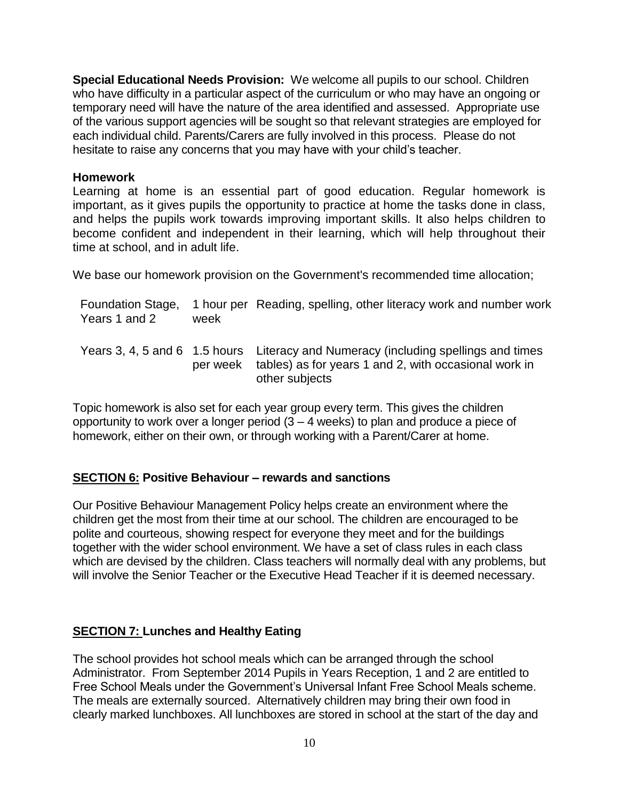**Special Educational Needs Provision:** We welcome all pupils to our school. Children who have difficulty in a particular aspect of the curriculum or who may have an ongoing or temporary need will have the nature of the area identified and assessed. Appropriate use of the various support agencies will be sought so that relevant strategies are employed for each individual child. Parents/Carers are fully involved in this process. Please do not hesitate to raise any concerns that you may have with your child's teacher.

#### **Homework**

Learning at home is an essential part of good education. Regular homework is important, as it gives pupils the opportunity to practice at home the tasks done in class, and helps the pupils work towards improving important skills. It also helps children to become confident and independent in their learning, which will help throughout their time at school, and in adult life.

We base our homework provision on the Government's recommended time allocation;

| Foundation Stage,<br>Years 1 and 2 | week | 1 hour per Reading, spelling, other literacy work and number work                                                                                                      |
|------------------------------------|------|------------------------------------------------------------------------------------------------------------------------------------------------------------------------|
|                                    |      | Years 3, 4, 5 and 6 1.5 hours Literacy and Numeracy (including spellings and times<br>per week tables) as for years 1 and 2, with occasional work in<br>other subjects |

Topic homework is also set for each year group every term. This gives the children opportunity to work over a longer period  $(3 - 4$  weeks) to plan and produce a piece of homework, either on their own, or through working with a Parent/Carer at home.

#### **SECTION 6: Positive Behaviour – rewards and sanctions**

Our Positive Behaviour Management Policy helps create an environment where the children get the most from their time at our school. The children are encouraged to be polite and courteous, showing respect for everyone they meet and for the buildings together with the wider school environment. We have a set of class rules in each class which are devised by the children. Class teachers will normally deal with any problems, but will involve the Senior Teacher or the Executive Head Teacher if it is deemed necessary.

## **SECTION 7: Lunches and Healthy Eating**

The school provides hot school meals which can be arranged through the school Administrator. From September 2014 Pupils in Years Reception, 1 and 2 are entitled to Free School Meals under the Government's Universal Infant Free School Meals scheme. The meals are externally sourced. Alternatively children may bring their own food in clearly marked lunchboxes. All lunchboxes are stored in school at the start of the day and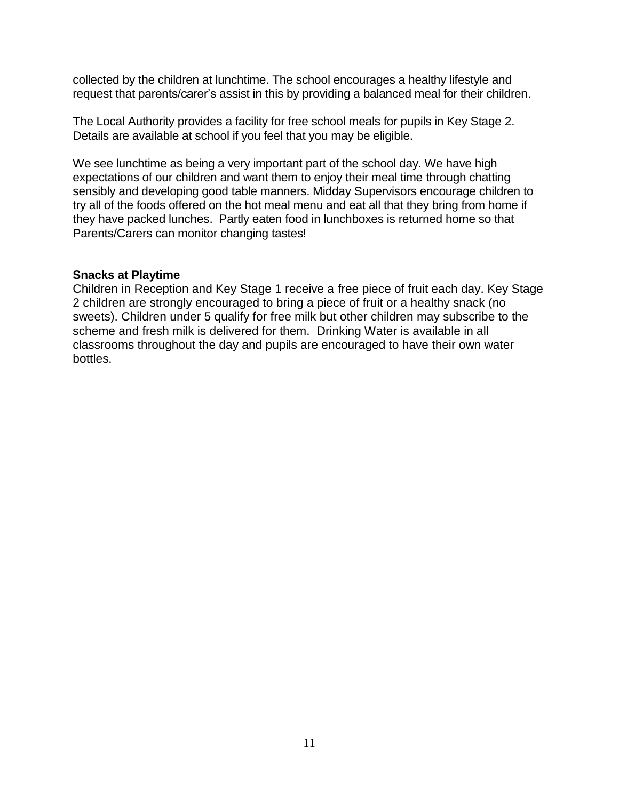collected by the children at lunchtime. The school encourages a healthy lifestyle and request that parents/carer's assist in this by providing a balanced meal for their children.

The Local Authority provides a facility for free school meals for pupils in Key Stage 2. Details are available at school if you feel that you may be eligible.

We see lunchtime as being a very important part of the school day. We have high expectations of our children and want them to enjoy their meal time through chatting sensibly and developing good table manners. Midday Supervisors encourage children to try all of the foods offered on the hot meal menu and eat all that they bring from home if they have packed lunches. Partly eaten food in lunchboxes is returned home so that Parents/Carers can monitor changing tastes!

#### **Snacks at Playtime**

Children in Reception and Key Stage 1 receive a free piece of fruit each day. Key Stage 2 children are strongly encouraged to bring a piece of fruit or a healthy snack (no sweets). Children under 5 qualify for free milk but other children may subscribe to the scheme and fresh milk is delivered for them. Drinking Water is available in all classrooms throughout the day and pupils are encouraged to have their own water bottles.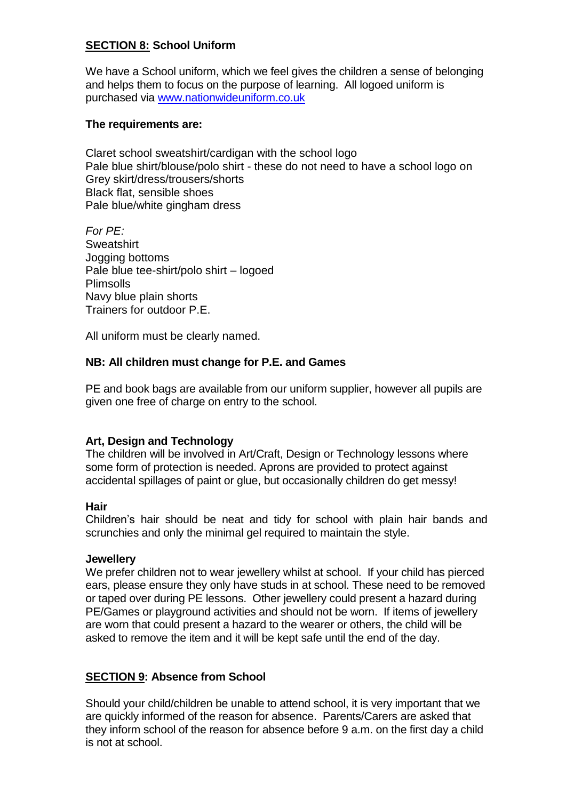## **SECTION 8: School Uniform**

We have a School uniform, which we feel gives the children a sense of belonging and helps them to focus on the purpose of learning. All logoed uniform is purchased via [www.nationwideuniform.co.uk](http://www.nationwideuniform.co.uk/)

#### **The requirements are:**

Claret school sweatshirt/cardigan with the school logo Pale blue shirt/blouse/polo shirt - these do not need to have a school logo on Grey skirt/dress/trousers/shorts Black flat, sensible shoes Pale blue/white gingham dress

*For PE:* **Sweatshirt** Jogging bottoms Pale blue tee-shirt/polo shirt – logoed Plimsolls Navy blue plain shorts Trainers for outdoor P.E.

All uniform must be clearly named.

## **NB: All children must change for P.E. and Games**

PE and book bags are available from our uniform supplier, however all pupils are given one free of charge on entry to the school.

#### **Art, Design and Technology**

The children will be involved in Art/Craft, Design or Technology lessons where some form of protection is needed. Aprons are provided to protect against accidental spillages of paint or glue, but occasionally children do get messy!

#### **Hair**

Children's hair should be neat and tidy for school with plain hair bands and scrunchies and only the minimal gel required to maintain the style.

#### **Jewellery**

We prefer children not to wear jewellery whilst at school. If your child has pierced ears, please ensure they only have studs in at school. These need to be removed or taped over during PE lessons. Other jewellery could present a hazard during PE/Games or playground activities and should not be worn. If items of jewellery are worn that could present a hazard to the wearer or others, the child will be asked to remove the item and it will be kept safe until the end of the day.

#### **SECTION 9: Absence from School**

Should your child/children be unable to attend school, it is very important that we are quickly informed of the reason for absence. Parents/Carers are asked that they inform school of the reason for absence before 9 a.m. on the first day a child is not at school.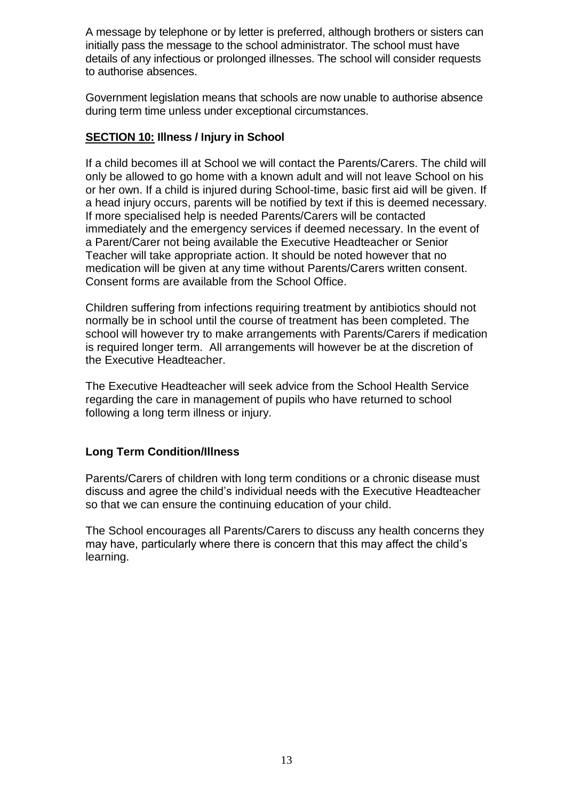A message by telephone or by letter is preferred, although brothers or sisters can initially pass the message to the school administrator. The school must have details of any infectious or prolonged illnesses. The school will consider requests to authorise absences.

Government legislation means that schools are now unable to authorise absence during term time unless under exceptional circumstances.

## **SECTION 10: Illness / Injury in School**

If a child becomes ill at School we will contact the Parents/Carers. The child will only be allowed to go home with a known adult and will not leave School on his or her own. If a child is injured during School-time, basic first aid will be given. If a head injury occurs, parents will be notified by text if this is deemed necessary. If more specialised help is needed Parents/Carers will be contacted immediately and the emergency services if deemed necessary. In the event of a Parent/Carer not being available the Executive Headteacher or Senior Teacher will take appropriate action. It should be noted however that no medication will be given at any time without Parents/Carers written consent. Consent forms are available from the School Office.

Children suffering from infections requiring treatment by antibiotics should not normally be in school until the course of treatment has been completed. The school will however try to make arrangements with Parents/Carers if medication is required longer term. All arrangements will however be at the discretion of the Executive Headteacher.

The Executive Headteacher will seek advice from the School Health Service regarding the care in management of pupils who have returned to school following a long term illness or injury.

#### **Long Term Condition/Illness**

Parents/Carers of children with long term conditions or a chronic disease must discuss and agree the child's individual needs with the Executive Headteacher so that we can ensure the continuing education of your child.

The School encourages all Parents/Carers to discuss any health concerns they may have, particularly where there is concern that this may affect the child's learning.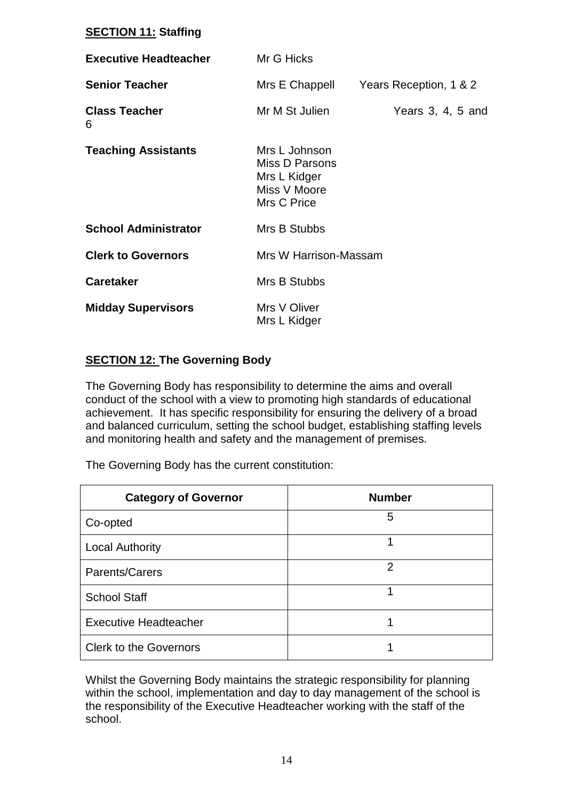## **SECTION 11: Staffing**

| <b>Executive Headteacher</b> | Mr G Hicks                                                                     |                        |
|------------------------------|--------------------------------------------------------------------------------|------------------------|
| <b>Senior Teacher</b>        | Mrs E Chappell                                                                 | Years Reception, 1 & 2 |
| <b>Class Teacher</b><br>6    | Mr M St Julien                                                                 | Years $3, 4, 5$ and    |
| <b>Teaching Assistants</b>   | Mrs L Johnson<br>Miss D Parsons<br>Mrs L Kidger<br>Miss V Moore<br>Mrs C Price |                        |
| <b>School Administrator</b>  | Mrs B Stubbs                                                                   |                        |
| <b>Clerk to Governors</b>    | Mrs W Harrison-Massam                                                          |                        |
| <b>Caretaker</b>             | Mrs B Stubbs                                                                   |                        |
| <b>Midday Supervisors</b>    | Mrs V Oliver<br>Mrs L Kidger                                                   |                        |

## **SECTION 12: The Governing Body**

The Governing Body has responsibility to determine the aims and overall conduct of the school with a view to promoting high standards of educational achievement. It has specific responsibility for ensuring the delivery of a broad and balanced curriculum, setting the school budget, establishing staffing levels and monitoring health and safety and the management of premises.

The Governing Body has the current constitution:

| <b>Category of Governor</b>   | <b>Number</b> |
|-------------------------------|---------------|
| Co-opted                      | 5             |
| <b>Local Authority</b>        |               |
| Parents/Carers                | 2             |
| <b>School Staff</b>           |               |
| <b>Executive Headteacher</b>  |               |
| <b>Clerk to the Governors</b> |               |

Whilst the Governing Body maintains the strategic responsibility for planning within the school, implementation and day to day management of the school is the responsibility of the Executive Headteacher working with the staff of the school.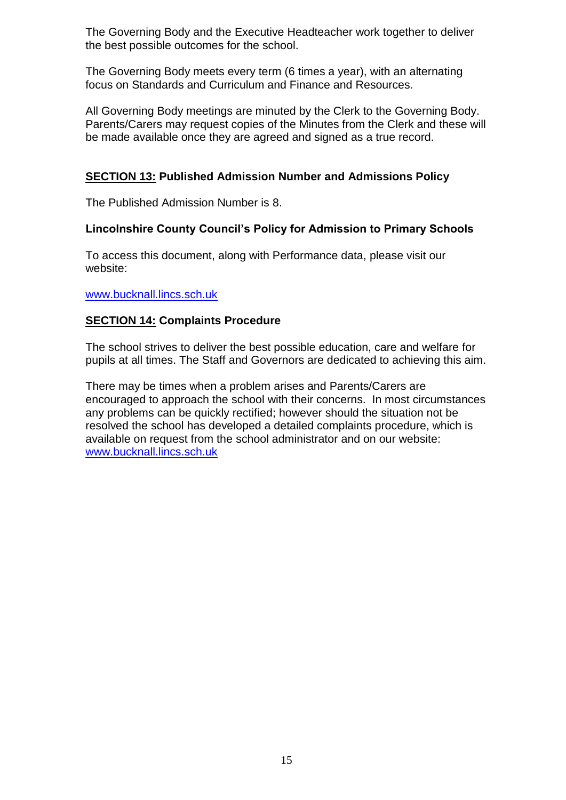The Governing Body and the Executive Headteacher work together to deliver the best possible outcomes for the school.

The Governing Body meets every term (6 times a year), with an alternating focus on Standards and Curriculum and Finance and Resources.

All Governing Body meetings are minuted by the Clerk to the Governing Body. Parents/Carers may request copies of the Minutes from the Clerk and these will be made available once they are agreed and signed as a true record.

## **SECTION 13: Published Admission Number and Admissions Policy**

The Published Admission Number is 8.

## **Lincolnshire County Council's Policy for Admission to Primary Schools**

To access this document, along with Performance data, please visit our website:

#### [www.bucknall.lincs.sch.uk](http://www.bucknall.lincs.sch.uk/)

## **SECTION 14: Complaints Procedure**

The school strives to deliver the best possible education, care and welfare for pupils at all times. The Staff and Governors are dedicated to achieving this aim.

There may be times when a problem arises and Parents/Carers are encouraged to approach the school with their concerns. In most circumstances any problems can be quickly rectified; however should the situation not be resolved the school has developed a detailed complaints procedure, which is available on request from the school administrator and on our website: [www.bucknall.lincs.sch.uk](http://www.bucknall.lincs.sch.uk/)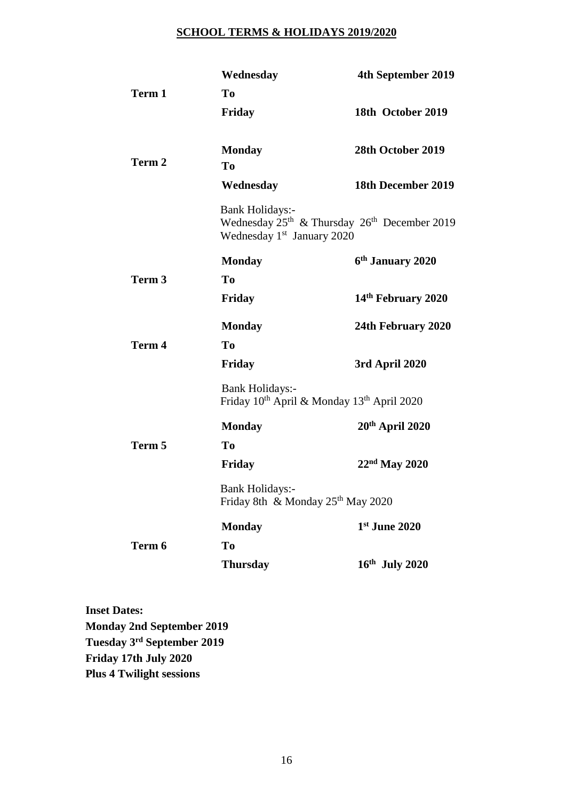#### **SCHOOL TERMS & HOLIDAYS 2019/2020**

|                   | Wednesday                                                                                    | 4th September 2019                                                   |
|-------------------|----------------------------------------------------------------------------------------------|----------------------------------------------------------------------|
| Term 1            | To                                                                                           |                                                                      |
|                   | <b>Friday</b>                                                                                | 18th October 2019                                                    |
|                   | <b>Monday</b>                                                                                | 28th October 2019                                                    |
| Term 2            | T <sub>0</sub>                                                                               |                                                                      |
|                   | Wednesday                                                                                    | 18th December 2019                                                   |
|                   | <b>Bank Holidays:-</b><br>Wednesday 1 <sup>st</sup> January 2020                             | Wednesday 25 <sup>th</sup> & Thursday 26 <sup>th</sup> December 2019 |
|                   | <b>Monday</b>                                                                                | 6 <sup>th</sup> January 2020                                         |
| Term 3            | To                                                                                           |                                                                      |
|                   | Friday                                                                                       | 14th February 2020                                                   |
|                   | <b>Monday</b>                                                                                | 24th February 2020                                                   |
| Term <sub>4</sub> | T <sub>0</sub>                                                                               |                                                                      |
|                   | Friday                                                                                       | 3rd April 2020                                                       |
|                   | <b>Bank Holidays:-</b><br>Friday 10 <sup>th</sup> April & Monday 13 <sup>th</sup> April 2020 |                                                                      |
|                   | <b>Monday</b>                                                                                | $20th$ April 2020                                                    |
| Term 5            | T <sub>0</sub>                                                                               |                                                                      |
|                   | <b>Friday</b>                                                                                | $22nd$ May 2020                                                      |
|                   | <b>Bank Holidays:-</b><br>Friday 8th & Monday 25 <sup>th</sup> May 2020                      |                                                                      |
|                   | <b>Monday</b>                                                                                | 1st June 2020                                                        |
| Term 6            | To                                                                                           |                                                                      |
|                   | <b>Thursday</b>                                                                              | 16th July 2020                                                       |
|                   |                                                                                              |                                                                      |

**Inset Dates: Monday 2nd September 2019 Tuesday 3 rd September 2019 Friday 17th July 2020 Plus 4 Twilight sessions**